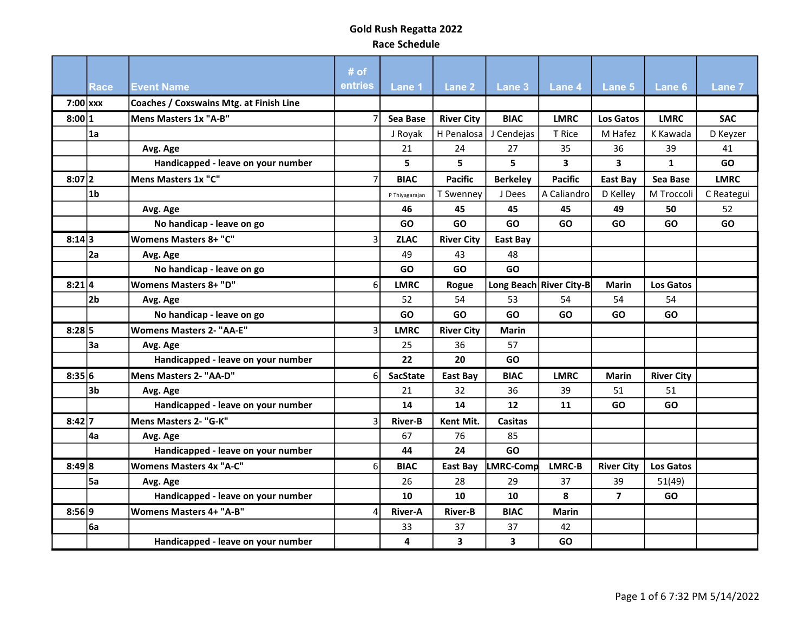|            |                |                                         | # of           |                 |                   |                         |                         |                         |                   |             |
|------------|----------------|-----------------------------------------|----------------|-----------------|-------------------|-------------------------|-------------------------|-------------------------|-------------------|-------------|
|            | <b>Race</b>    | <b>Event Name</b>                       | entries        | Lane 1          | Lane 2            | Lane <sub>3</sub>       | Lane <sub>4</sub>       | Lane 5                  | Lane 6            | Lane 7      |
| $7:00$ xxx |                | Coaches / Coxswains Mtg. at Finish Line |                |                 |                   |                         |                         |                         |                   |             |
| 8:00 1     |                | Mens Masters 1x "A-B"                   |                | Sea Base        | <b>River City</b> | <b>BIAC</b>             | <b>LMRC</b>             | Los Gatos               | <b>LMRC</b>       | <b>SAC</b>  |
|            | 1a             |                                         |                | J Royak         | H Penalosa        | J Cendejas              | T Rice                  | M Hafez                 | K Kawada          | D Keyzer    |
|            |                | Avg. Age                                |                | 21              | 24                | 27                      | 35                      | 36                      | 39                | 41          |
|            |                | Handicapped - leave on your number      |                | 5               | 5                 | 5                       | 3                       | $\overline{\mathbf{3}}$ | $\mathbf{1}$      | GO          |
| $8:07$  2  |                | Mens Masters 1x "C"                     |                | <b>BIAC</b>     | <b>Pacific</b>    | <b>Berkeley</b>         | <b>Pacific</b>          | <b>East Bay</b>         | Sea Base          | <b>LMRC</b> |
|            | l1b            |                                         |                | P Thiyagarajan  | T Swenney         | J Dees                  | A Caliandro             | D Kelley                | M Troccoli        | C Reategui  |
|            |                | Avg. Age                                |                | 46              | 45                | 45                      | 45                      | 49                      | 50                | 52          |
|            |                | No handicap - leave on go               |                | <b>GO</b>       | GO                | GO                      | GO                      | <b>GO</b>               | <b>GO</b>         | <b>GO</b>   |
| 8:14 3     |                | <b>Womens Masters 8+ "C"</b>            | 3              | <b>ZLAC</b>     | <b>River City</b> | <b>East Bay</b>         |                         |                         |                   |             |
|            | 2a             | Avg. Age                                |                | 49              | 43                | 48                      |                         |                         |                   |             |
|            |                | No handicap - leave on go               |                | GO              | GO                | GO                      |                         |                         |                   |             |
| $8:21$ 4   |                | <b>Womens Masters 8+ "D"</b>            | 6              | <b>LMRC</b>     | Rogue             |                         | Long Beach River City-B | <b>Marin</b>            | Los Gatos         |             |
|            | 2b             | Avg. Age                                |                | 52              | 54                | 53                      | 54                      | 54                      | 54                |             |
|            |                | No handicap - leave on go               |                | <b>GO</b>       | GO                | GO                      | GO                      | <b>GO</b>               | <b>GO</b>         |             |
| $8:28$ 5   |                | <b>Womens Masters 2- "AA-E"</b>         | 3              | <b>LMRC</b>     | <b>River City</b> | <b>Marin</b>            |                         |                         |                   |             |
|            | 3a             | Avg. Age                                |                | 25              | 36                | 57                      |                         |                         |                   |             |
|            |                | Handicapped - leave on your number      |                | 22              | 20                | GO                      |                         |                         |                   |             |
| 8:35 6     |                | Mens Masters 2- "AA-D"                  | 61             | <b>SacState</b> | East Bay          | <b>BIAC</b>             | <b>LMRC</b>             | Marin                   | <b>River City</b> |             |
|            | 3 <sub>b</sub> | Avg. Age                                |                | 21              | 32                | 36                      | 39                      | 51                      | 51                |             |
|            |                | Handicapped - leave on your number      |                | 14              | 14                | 12                      | 11                      | <b>GO</b>               | GO                |             |
| 8:42 7     |                | Mens Masters 2- "G-K"                   | 3              | <b>River-B</b>  | Kent Mit.         | <b>Casitas</b>          |                         |                         |                   |             |
|            | 4a             | Avg. Age                                |                | 67              | 76                | 85                      |                         |                         |                   |             |
|            |                | Handicapped - leave on your number      |                | 44              | 24                | GO                      |                         |                         |                   |             |
| 8:49 8     |                | <b>Womens Masters 4x "A-C"</b>          | 6 <sup>1</sup> | <b>BIAC</b>     | East Bay          | LMRC-Comp               | <b>LMRC-B</b>           | <b>River City</b>       | <b>Los Gatos</b>  |             |
|            | <b>5a</b>      | Avg. Age                                |                | 26              | 28                | 29                      | 37                      | 39                      | 51(49)            |             |
|            |                | Handicapped - leave on your number      |                | 10              | 10                | 10                      | 8                       | $\overline{7}$          | GO                |             |
| 8:56 9     |                | <b>Womens Masters 4+ "A-B"</b>          | 4              | <b>River-A</b>  | <b>River-B</b>    | <b>BIAC</b>             | <b>Marin</b>            |                         |                   |             |
|            | 6a             |                                         |                | 33              | 37                | 37                      | 42                      |                         |                   |             |
|            |                | Handicapped - leave on your number      |                | 4               | 3                 | $\overline{\mathbf{3}}$ | GO                      |                         |                   |             |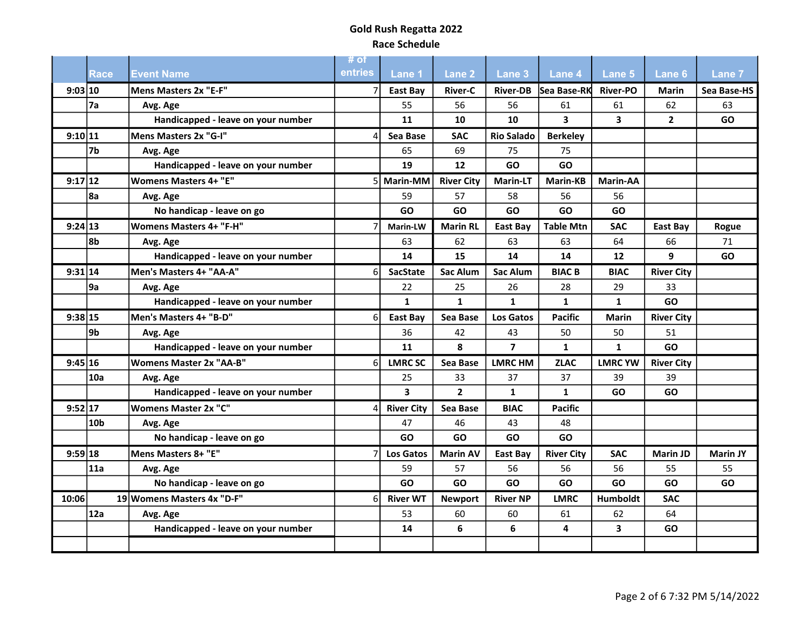|         |                 |                                    | # of    |                   |                   |                   |                         |                         |                   |                 |
|---------|-----------------|------------------------------------|---------|-------------------|-------------------|-------------------|-------------------------|-------------------------|-------------------|-----------------|
|         | <b>Race</b>     | <b>Event Name</b>                  | entries | <b>Lane 1</b>     | Lane 2            | Lane 3            | <b>Lane 4</b>           | Lane 5                  | <b>Lane 6</b>     | <b>Lane 7</b>   |
| 9:03 10 |                 | Mens Masters 2x "E-F"              |         | East Bay          | <b>River-C</b>    |                   | River-DB Sea Base-RK    | <b>River-PO</b>         | <b>Marin</b>      | Sea Base-HS     |
|         | l7a             | Avg. Age                           |         | 55                | 56                | 56                | 61                      | 61                      | 62                | 63              |
|         |                 | Handicapped - leave on your number |         | 11                | 10                | 10                | $\overline{\mathbf{3}}$ | $\overline{\mathbf{3}}$ | $\overline{2}$    | GO              |
| 9:10 11 |                 | Mens Masters 2x "G-I"              |         | Sea Base          | <b>SAC</b>        | <b>Rio Salado</b> | <b>Berkelev</b>         |                         |                   |                 |
|         | 7b              | Avg. Age                           |         | 65                | 69                | 75                | 75                      |                         |                   |                 |
|         |                 | Handicapped - leave on your number |         | 19                | 12                | GO                | GO                      |                         |                   |                 |
| 9:17 12 |                 | <b>Womens Masters 4+ "E"</b>       | 5       | Marin-MM          | <b>River City</b> | <b>Marin-LT</b>   | <b>Marin-KB</b>         | <b>Marin-AA</b>         |                   |                 |
|         | 8a              | Avg. Age                           |         | 59                | 57                | 58                | 56                      | 56                      |                   |                 |
|         |                 | No handicap - leave on go          |         | GO                | GO                | GO                | GO                      | GO                      |                   |                 |
| 9:24 13 |                 | <b>Womens Masters 4+ "F-H"</b>     |         | Marin-LW          | <b>Marin RL</b>   | East Bay          | <b>Table Mtn</b>        | <b>SAC</b>              | East Bay          | Rogue           |
|         | 8bl             | Avg. Age                           |         | 63                | 62                | 63                | 63                      | 64                      | 66                | 71              |
|         |                 | Handicapped - leave on your number |         | 14                | 15                | 14                | 14                      | 12                      | 9                 | <b>GO</b>       |
| 9:31 14 |                 | Men's Masters 4+ "AA-A"            | 6       | <b>SacState</b>   | <b>Sac Alum</b>   | <b>Sac Alum</b>   | <b>BIACB</b>            | <b>BIAC</b>             | <b>River City</b> |                 |
|         | 9a              | Avg. Age                           |         | 22                | 25                | 26                | 28                      | 29                      | 33                |                 |
|         |                 | Handicapped - leave on your number |         | $\mathbf{1}$      | $\mathbf{1}$      | $\mathbf{1}$      | $\mathbf{1}$            | $\mathbf{1}$            | GO                |                 |
| 9:38 15 |                 | Men's Masters 4+ "B-D"             | 61      | East Bay          | Sea Base          | <b>Los Gatos</b>  | <b>Pacific</b>          | Marin                   | <b>River City</b> |                 |
|         | 9b              | Avg. Age                           |         | 36                | 42                | 43                | 50                      | 50                      | 51                |                 |
|         |                 | Handicapped - leave on your number |         | 11                | 8                 | $\overline{7}$    | $\mathbf{1}$            | $\mathbf{1}$            | GO                |                 |
| 9:45 16 |                 | <b>Womens Master 2x "AA-B"</b>     | 6       | <b>LMRCSC</b>     | Sea Base          | <b>LMRC HM</b>    | <b>ZLAC</b>             | <b>LMRC YW</b>          | <b>River City</b> |                 |
|         | 10a             | Avg. Age                           |         | 25                | 33                | 37                | 37                      | 39                      | 39                |                 |
|         |                 | Handicapped - leave on your number |         | 3                 | $2^{\circ}$       | $\mathbf{1}$      | $\mathbf{1}$            | GO                      | GO                |                 |
| 9:52 17 |                 | Womens Master 2x "C"               |         | <b>River City</b> | Sea Base          | <b>BIAC</b>       | <b>Pacific</b>          |                         |                   |                 |
|         | 10 <sub>b</sub> | Avg. Age                           |         | 47                | 46                | 43                | 48                      |                         |                   |                 |
|         |                 | No handicap - leave on go          |         | GO                | GO                | GO                | <b>GO</b>               |                         |                   |                 |
| 9:59 18 |                 | Mens Masters 8+ "E"                |         | <b>Los Gatos</b>  | <b>Marin AV</b>   | East Bay          | <b>River City</b>       | <b>SAC</b>              | <b>Marin JD</b>   | <b>Marin JY</b> |
|         | 11a             | Avg. Age                           |         | 59                | 57                | 56                | 56                      | 56                      | 55                | 55              |
|         |                 | No handicap - leave on go          |         | GO                | <b>GO</b>         | GO                | <b>GO</b>               | GO                      | GO                | <b>GO</b>       |
| 10:06   |                 | 19 Womens Masters 4x "D-F"         | 6       | <b>River WT</b>   | <b>Newport</b>    | <b>River NP</b>   | <b>LMRC</b>             | Humboldt                | <b>SAC</b>        |                 |
|         | 12a             | Avg. Age                           |         | 53                | 60                | 60                | 61                      | 62                      | 64                |                 |
|         |                 | Handicapped - leave on your number |         | 14                | 6                 | 6                 | 4                       | 3                       | GO                |                 |
|         |                 |                                    |         |                   |                   |                   |                         |                         |                   |                 |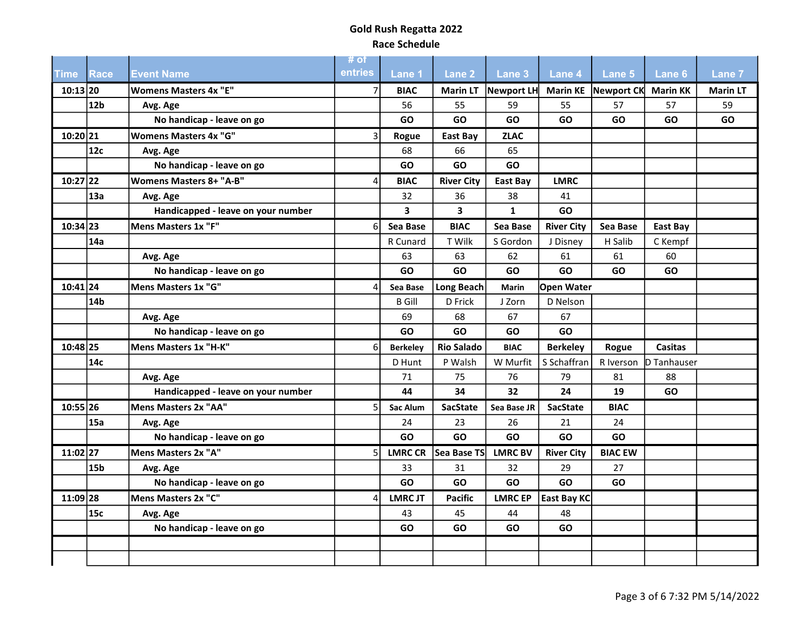| <b>Time</b> | Race            | <b>Event Name</b>                  | # of<br>entries | Lane 1          | Lane <sub>2</sub>       | Lane 3         | Lane 4            | Lane 5              | Lane <sub>6</sub> | Lane 7          |
|-------------|-----------------|------------------------------------|-----------------|-----------------|-------------------------|----------------|-------------------|---------------------|-------------------|-----------------|
| $10:13$ 20  |                 | <b>Womens Masters 4x "E"</b>       |                 | <b>BIAC</b>     | <b>Marin LT</b>         | Newport LH     |                   | Marin KE Newport CK | <b>Marin KK</b>   | <b>Marin LT</b> |
|             | 12b             | Avg. Age                           |                 | 56              | 55                      | 59             | 55                | 57                  | 57                | 59              |
|             |                 | No handicap - leave on go          |                 | GO              | GO                      | GO             | GO                | GO                  | GO                | GO              |
| $10:20$  21 |                 | <b>Womens Masters 4x "G"</b>       | ς               | Rogue           | East Bay                | <b>ZLAC</b>    |                   |                     |                   |                 |
|             | 12c             | Avg. Age                           |                 | 68              | 66                      | 65             |                   |                     |                   |                 |
|             |                 | No handicap - leave on go          |                 | <b>GO</b>       | GO                      | GO             |                   |                     |                   |                 |
| $10:27$  22 |                 | <b>Womens Masters 8+ "A-B"</b>     | 4               | <b>BIAC</b>     | <b>River City</b>       | East Bay       | <b>LMRC</b>       |                     |                   |                 |
|             | 13a             | Avg. Age                           |                 | 32              | 36                      | 38             | 41                |                     |                   |                 |
|             |                 | Handicapped - leave on your number |                 | 3               | $\overline{\mathbf{3}}$ | $\mathbf{1}$   | <b>GO</b>         |                     |                   |                 |
| $10:34$ 23  |                 | Mens Masters 1x "F"                | 6               | Sea Base        | <b>BIAC</b>             | Sea Base       | <b>River City</b> | Sea Base            | East Bay          |                 |
|             | 14a             |                                    |                 | R Cunard        | T Wilk                  | S Gordon       | J Disney          | H Salib             | C Kempf           |                 |
|             |                 | Avg. Age                           |                 | 63              | 63                      | 62             | 61                | 61                  | 60                |                 |
|             |                 | No handicap - leave on go          |                 | GO              | GO                      | GO             | <b>GO</b>         | GO                  | GO                |                 |
| $10:41$ 24  |                 | Mens Masters 1x "G"                | Δ               | Sea Base        | <b>Long Beach</b>       | <b>Marin</b>   | <b>Open Water</b> |                     |                   |                 |
|             | 14 <sub>b</sub> |                                    |                 | <b>B</b> Gill   | D Frick                 | J Zorn         | D Nelson          |                     |                   |                 |
|             |                 | Avg. Age                           |                 | 69              | 68                      | 67             | 67                |                     |                   |                 |
|             |                 | No handicap - leave on go          |                 | GO              | GO                      | GO             | <b>GO</b>         |                     |                   |                 |
| 10:48 25    |                 | Mens Masters 1x "H-K"              | 6               | <b>Berkeley</b> | <b>Rio Salado</b>       | <b>BIAC</b>    | <b>Berkeley</b>   | Rogue               | <b>Casitas</b>    |                 |
|             | 14c             |                                    |                 | D Hunt          | P Walsh                 | W Murfit       | S Schaffran       | R Iverson           | D Tanhauser       |                 |
|             |                 | Avg. Age                           |                 | 71              | 75                      | 76             | 79                | 81                  | 88                |                 |
|             |                 | Handicapped - leave on your number |                 | 44              | 34                      | 32             | 24                | 19                  | GO                |                 |
| $10:55$ 26  |                 | Mens Masters 2x "AA"               | 5.              | Sac Alum        | SacState                | Sea Base JR    | <b>SacState</b>   | <b>BIAC</b>         |                   |                 |
|             | 15a             | Avg. Age                           |                 | 24              | 23                      | 26             | 21                | 24                  |                   |                 |
|             |                 | No handicap - leave on go          |                 | GO              | GO                      | GO             | GO                | GO                  |                   |                 |
| $11:02$ 27  |                 | Mens Masters 2x "A"                | 5               | <b>LMRC CR</b>  | Sea Base TS             | <b>LMRC BV</b> | <b>River City</b> | <b>BIAC EW</b>      |                   |                 |
|             | 15 <sub>b</sub> | Avg. Age                           |                 | 33              | 31                      | 32             | 29                | 27                  |                   |                 |
|             |                 | No handicap - leave on go          |                 | GO              | GO                      | GO             | <b>GO</b>         | GO.                 |                   |                 |
| $11:09$ 28  |                 | Mens Masters 2x "C"                | 4               | <b>LMRCJT</b>   | <b>Pacific</b>          | <b>LMRCEP</b>  | East Bay KC       |                     |                   |                 |
|             | 15c             | Avg. Age                           |                 | 43              | 45                      | 44             | 48                |                     |                   |                 |
|             |                 | No handicap - leave on go          |                 | <b>GO</b>       | GO                      | GO             | GO                |                     |                   |                 |
|             |                 |                                    |                 |                 |                         |                |                   |                     |                   |                 |
|             |                 |                                    |                 |                 |                         |                |                   |                     |                   |                 |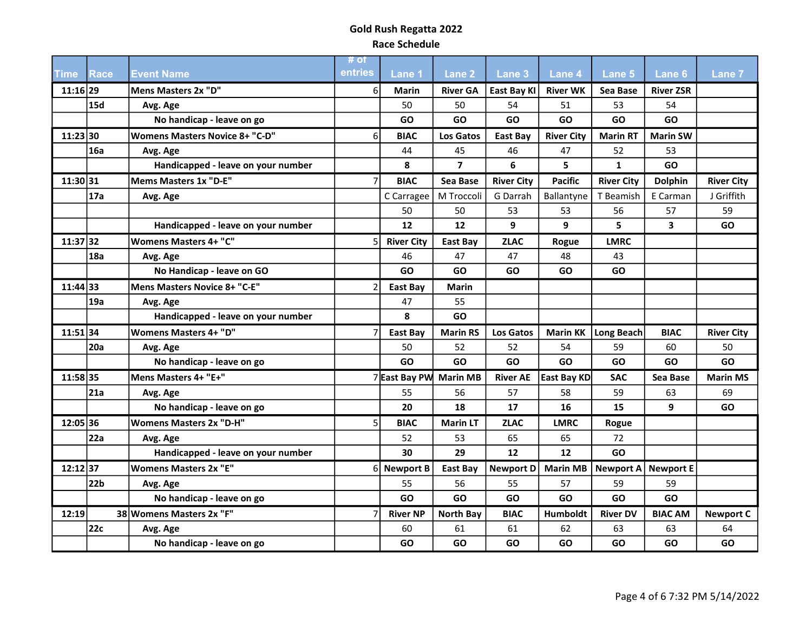| <b>Time</b> | Race  | <b>Event Name</b>                     | # of<br>entries | Lane 1            | Lane <sub>2</sub> | Lane <sub>3</sub> | <b>Lane 4</b>      | Lane 5            | Lane <sub>6</sub>       | <b>Lane 7</b>     |
|-------------|-------|---------------------------------------|-----------------|-------------------|-------------------|-------------------|--------------------|-------------------|-------------------------|-------------------|
| $11:16$  29 |       | Mens Masters 2x "D"                   | $6 \mid$        | <b>Marin</b>      | <b>River GA</b>   | East Bay KI       | <b>River WK</b>    | Sea Base          | <b>River ZSR</b>        |                   |
|             | 15d   | Avg. Age                              |                 | 50                | 50                | 54                | 51                 | 53                | 54                      |                   |
|             |       | No handicap - leave on go             |                 | GO                | GO                | GO                | GO                 | GO                | GO                      |                   |
| 11:23 30    |       | <b>Womens Masters Novice 8+ "C-D"</b> | 6               | <b>BIAC</b>       | <b>Los Gatos</b>  | East Bay          | <b>River City</b>  | <b>Marin RT</b>   | <b>Marin SW</b>         |                   |
|             | 16a   | Avg. Age                              |                 | 44                | 45                | 46                | 47                 | 52                | 53                      |                   |
|             |       | Handicapped - leave on your number    |                 | 8                 | $\overline{7}$    | 6                 | 5                  | $\mathbf{1}$      | GO                      |                   |
| 11:30 31    |       | Mems Masters 1x "D-E"                 |                 | <b>BIAC</b>       | Sea Base          | <b>River City</b> | <b>Pacific</b>     | <b>River City</b> | Dolphin                 | <b>River City</b> |
|             | l 17a | Avg. Age                              |                 | C Carragee        | M Troccoli        | G Darrah          | Ballantyne         | T Beamish         | E Carman                | J Griffith        |
|             |       |                                       |                 | 50                | 50                | 53                | 53                 | 56                | 57                      | 59                |
|             |       | Handicapped - leave on your number    |                 | 12                | 12                | 9                 | 9                  | 5                 | $\overline{\mathbf{3}}$ | GO                |
| $11:37$ 32  |       | <b>Womens Masters 4+ "C"</b>          | 5               | <b>River City</b> | East Bay          | <b>ZLAC</b>       | Rogue              | <b>LMRC</b>       |                         |                   |
|             | 18a   | Avg. Age                              |                 | 46                | 47                | 47                | 48                 | 43                |                         |                   |
|             |       | No Handicap - leave on GO             |                 | GO                | GO                | GO                | GO                 | GO                |                         |                   |
| 11:44 33    |       | Mens Masters Novice 8+ "C-E"          |                 | East Bay          | <b>Marin</b>      |                   |                    |                   |                         |                   |
|             | 19a   | Avg. Age                              |                 | 47                | 55                |                   |                    |                   |                         |                   |
|             |       | Handicapped - leave on your number    |                 | 8                 | GO                |                   |                    |                   |                         |                   |
| $11:51$ 34  |       | <b>Womens Masters 4+ "D"</b>          |                 | <b>East Bay</b>   | <b>Marin RS</b>   | Los Gatos         | <b>Marin KK</b>    | Long Beach        | <b>BIAC</b>             | <b>River City</b> |
|             | 20a   | Avg. Age                              |                 | 50                | 52                | 52                | 54                 | 59                | 60                      | 50                |
|             |       | No handicap - leave on go             |                 | GO                | GO                | GO                | <b>GO</b>          | GO                | GO                      | GO                |
| 11:58 35    |       | Mens Masters 4+ "E+"                  |                 | 7 East Bay PW     | <b>Marin MB</b>   | <b>River AE</b>   | <b>East Bay KD</b> | <b>SAC</b>        | Sea Base                | <b>Marin MS</b>   |
|             | 21a   | Avg. Age                              |                 | 55                | 56                | 57                | 58                 | 59                | 63                      | 69                |
|             |       | No handicap - leave on go             |                 | 20                | 18                | 17                | 16                 | 15                | 9                       | GO                |
| 12:05 36    |       | <b>Womens Masters 2x "D-H"</b>        | 5               | <b>BIAC</b>       | <b>Marin LT</b>   | <b>ZLAC</b>       | <b>LMRC</b>        | Rogue             |                         |                   |
|             | 22a   | Avg. Age                              |                 | 52                | 53                | 65                | 65                 | 72                |                         |                   |
|             |       | Handicapped - leave on your number    |                 | 30                | 29                | 12                | 12                 | GO                |                         |                   |
| 12:12 37    |       | <b>Womens Masters 2x "E"</b>          |                 | 6 Newport B       | East Bay          | <b>Newport D</b>  | <b>Marin MB</b>    | <b>Newport A</b>  | <b>Newport E</b>        |                   |
|             | 22b   | Avg. Age                              |                 | 55                | 56                | 55                | 57                 | 59                | 59                      |                   |
|             |       | No handicap - leave on go             |                 | GO                | GO                | GO                | <b>GO</b>          | GO                | GO                      |                   |
| 12:19       |       | 38 Womens Masters 2x "F"              |                 | <b>River NP</b>   | <b>North Bay</b>  | <b>BIAC</b>       | Humboldt           | <b>River DV</b>   | <b>BIAC AM</b>          | <b>Newport C</b>  |
|             | 22c   | Avg. Age                              |                 | 60                | 61                | 61                | 62                 | 63                | 63                      | 64                |
|             |       | No handicap - leave on go             |                 | <b>GO</b>         | GO                | GO                | <b>GO</b>          | GO                | GO                      | GO                |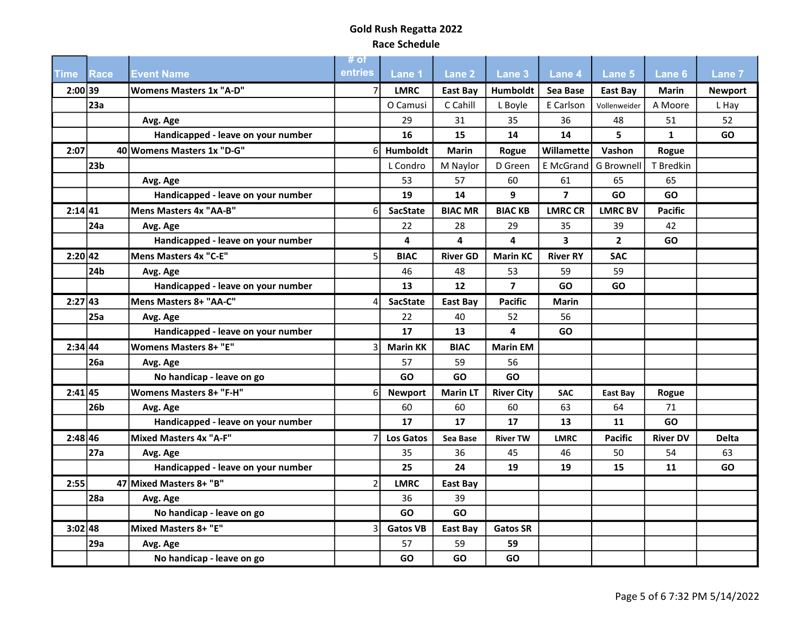|           |                 |                                    | # of<br>entries |                 |                   |                   |                 |                   |                 |                |
|-----------|-----------------|------------------------------------|-----------------|-----------------|-------------------|-------------------|-----------------|-------------------|-----------------|----------------|
| Time      | <b>Race</b>     | <b>Event Name</b>                  |                 | Lane 1          | Lane <sub>2</sub> | Lane 3            | <b>Lane 4</b>   | Lane 5            | Lane 6          | <b>Lane 7</b>  |
| 2:00 39   | 23a             | <b>Womens Masters 1x "A-D"</b>     |                 | <b>LMRC</b>     | <b>East Bay</b>   | <b>Humboldt</b>   | Sea Base        | East Bay          | Marin           | <b>Newport</b> |
|           |                 |                                    |                 | O Camusi        | C Cahill          | L Boyle           | E Carlson       | Vollenweider      | A Moore         | L Hay          |
|           |                 | Avg. Age                           |                 | 29              | 31                | 35                | 36              | 48<br>5.          | 51              | 52             |
|           |                 | Handicapped - leave on your number |                 | 16              | 15                | 14                | 14              |                   | $\mathbf{1}$    | GO             |
| 2:07      |                 | 40 Womens Masters 1x "D-G"         | 61              | <b>Humboldt</b> | <b>Marin</b>      | Rogue             | Willamette      | Vashon            | Rogue           |                |
|           | 23 <sub>b</sub> |                                    |                 | L Condro        | M Naylor          | D Green           | E McGrand       | <b>G</b> Brownell | T Bredkin       |                |
|           |                 | Avg. Age                           |                 | 53              | 57                | 60                | 61              | 65                | 65              |                |
|           |                 | Handicapped - leave on your number |                 | 19              | 14                | 9                 | $\overline{7}$  | GO                | GO              |                |
| 2:14 41   |                 | Mens Masters 4x "AA-B"             | 6               | <b>SacState</b> | <b>BIAC MR</b>    | <b>BIACKB</b>     | <b>LMRC CR</b>  | <b>LMRC BV</b>    | <b>Pacific</b>  |                |
|           | 24a             | Avg. Age                           |                 | 22              | 28                | 29                | 35              | 39                | 42              |                |
|           |                 | Handicapped - leave on your number |                 | 4               | 4                 | 4                 | 3               | $\mathbf{2}$      | GO              |                |
| 2:20 42   |                 | Mens Masters 4x "C-E"              | 5               | <b>BIAC</b>     | <b>River GD</b>   | <b>Marin KC</b>   | <b>River RY</b> | <b>SAC</b>        |                 |                |
|           | 24 <sub>b</sub> | Avg. Age                           |                 | 46              | 48                | 53                | 59              | 59                |                 |                |
|           |                 | Handicapped - leave on your number |                 | 13              | 12                | $\overline{7}$    | GO              | GO                |                 |                |
| 2:27 43   |                 | Mens Masters 8+ "AA-C"             |                 | <b>SacState</b> | East Bay          | <b>Pacific</b>    | Marin           |                   |                 |                |
|           | 25a             | Avg. Age                           |                 | 22              | 40                | 52                | 56              |                   |                 |                |
|           |                 | Handicapped - leave on your number |                 | 17              | 13                | 4                 | <b>GO</b>       |                   |                 |                |
| 2:34 44   |                 | <b>Womens Masters 8+ "E"</b>       |                 | <b>Marin KK</b> | <b>BIAC</b>       | <b>Marin EM</b>   |                 |                   |                 |                |
|           | <b>26a</b>      | Avg. Age                           |                 | 57              | 59                | 56                |                 |                   |                 |                |
|           |                 | No handicap - leave on go          |                 | GO              | GO                | GO                |                 |                   |                 |                |
| 2:41 45   |                 | <b>Womens Masters 8+ "F-H"</b>     | 6               | <b>Newport</b>  | <b>Marin LT</b>   | <b>River City</b> | <b>SAC</b>      | East Bay          | Rogue           |                |
|           | 26b             | Avg. Age                           |                 | 60              | 60                | 60                | 63              | 64                | 71              |                |
|           |                 | Handicapped - leave on your number |                 | 17              | 17                | 17                | 13              | 11                | GO              |                |
| 2:48 46   |                 | Mixed Masters 4x "A-F"             |                 | Los Gatos       | Sea Base          | <b>River TW</b>   | <b>LMRC</b>     | Pacific           | <b>River DV</b> | <b>Delta</b>   |
|           | 27a             | Avg. Age                           |                 | 35              | 36                | 45                | 46              | 50                | 54              | 63             |
|           |                 | Handicapped - leave on your number |                 | 25              | 24                | 19                | 19              | 15                | 11              | GO             |
| 2:55      |                 | 47 Mixed Masters 8+ "B"            | $\overline{2}$  | <b>LMRC</b>     | East Bay          |                   |                 |                   |                 |                |
|           | <b>28a</b>      | Avg. Age                           |                 | 36              | 39                |                   |                 |                   |                 |                |
|           |                 | No handicap - leave on go          |                 | GO              | GO                |                   |                 |                   |                 |                |
| $3:02$ 48 |                 | Mixed Masters 8+ "E"               |                 | <b>Gatos VB</b> | <b>East Bay</b>   | <b>Gatos SR</b>   |                 |                   |                 |                |
|           | 29a             | Avg. Age                           |                 | 57              | 59                | 59                |                 |                   |                 |                |
|           |                 | No handicap - leave on go          |                 | <b>GO</b>       | GO                | GO                |                 |                   |                 |                |